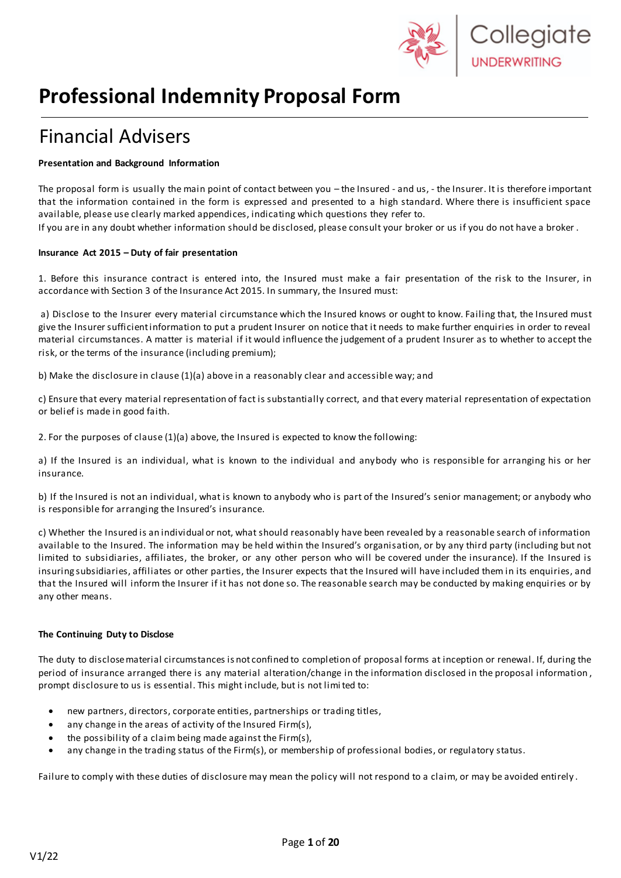

# **Professional Indemnity Proposal Form**

# Financial Advisers

#### **Presentation and Background Information**

The proposal form is usually the main point of contact between you – the Insured - and us, - the Insurer. It is therefore important that the information contained in the form is expressed and presented to a high standard. Where there is insufficient space available, please use clearly marked appendices, indicating which questions they refer to.

If you are in any doubt whether information should be disclosed, please consult your broker or us if you do not have a broker .

#### **Insurance Act 2015 – Duty of fair presentation**

1. Before this insurance contract is entered into, the Insured must make a fair presentation of the risk to the Insurer, in accordance with Section 3 of the Insurance Act 2015. In summary, the Insured must:

a) Disclose to the Insurer every material circumstance which the Insured knows or ought to know. Failing that, the Insured must give the Insurer sufficient information to put a prudent Insurer on notice that it needs to make further enquiries in order to reveal material circumstances. A matter is material if it would influence the judgement of a prudent Insurer as to whether to accept the risk, or the terms of the insurance (including premium);

b) Make the disclosure in clause (1)(a) above in a reasonably clear and accessible way; and

c) Ensure that every material representation of fact is substantially correct, and that every material representation of expectation or belief is made in good faith.

2. For the purposes of clause (1)(a) above, the Insured is expected to know the following:

a) If the Insured is an individual, what is known to the individual and anybody who is responsible for arranging his or her insurance.

b) If the Insured is not an individual, what is known to anybody who is part of the Insured's senior management; or anybody who is responsible for arranging the Insured's insurance.

c) Whether the Insured is an individual or not, what should reasonably have been revealed by a reasonable search of information available to the Insured. The information may be held within the Insured's organisation, or by any third party (including but not limited to subsidiaries, affiliates, the broker, or any other person who will be covered under the insurance). If the Insured is insuring subsidiaries, affiliates or other parties, the Insurer expects that the Insured will have included them in its enquiries, and that the Insured will inform the Insurer if it has not done so. The reasonable search may be conducted by making enquiries or by any other means.

#### **The Continuing Duty to Disclose**

The duty to disclose material circumstances is not confined to completion of proposal forms at inception or renewal. If, during the period of insurance arranged there is any material alteration/change in the information disclosed in the proposal information , prompt disclosure to us is essential. This might include, but is not limited to:

- new partners, directors, corporate entities, partnerships or trading titles,
- any change in the areas of activity of the Insured Firm(s),
- the possibility of a claim being made against the Firm(s),
- any change in the trading status of the Firm(s), or membership of professional bodies, or regulatory status.

Failure to comply with these duties of disclosure may mean the policy will not respond to a claim, or may be avoided entirely .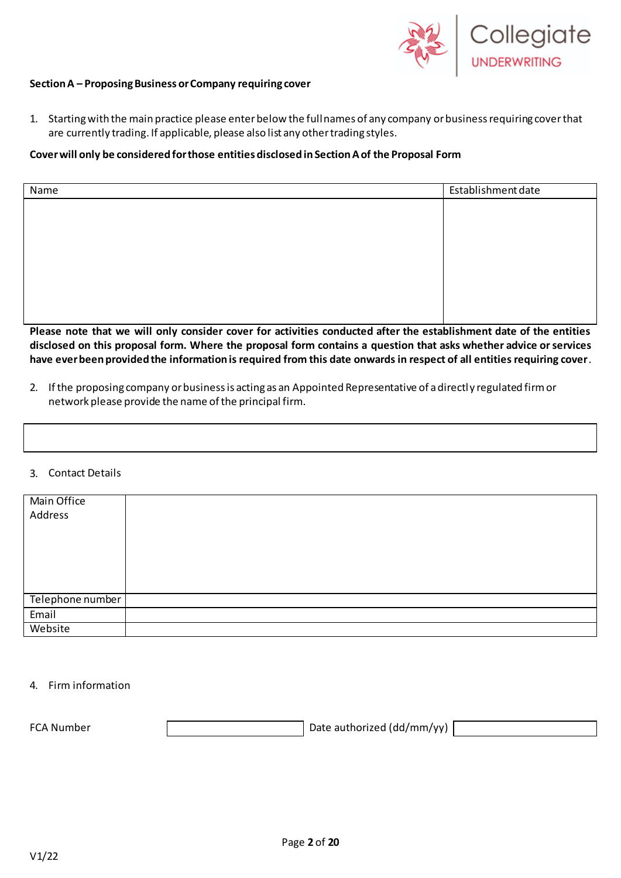

#### **Section A – Proposing Business or Company requiring cover**

1. Starting with the main practice please enter below the full names of any company orbusiness requiring coverthat are currently trading. If applicable, please also list any other trading styles.

#### **Coverwill only be considered forthose entities disclosed inSectionAof the Proposal Form**

| Name | Establishment date |
|------|--------------------|
|      |                    |
|      |                    |
|      |                    |
|      |                    |
|      |                    |
|      |                    |
|      |                    |
|      |                    |

**Please note that we will only consider cover for activities conducted after the establishment date of the entities disclosed on this proposal form. Where the proposal form contains a question that asks whether advice or services have ever been provided the information is required from this date onwards in respect of all entities requiring cover**.

2. If the proposing company or business is acting as an Appointed Representative of a directly regulated firm or network please provide the name of the principal firm.

#### 3. Contact Details

| Main Office      |  |
|------------------|--|
| Address          |  |
|                  |  |
|                  |  |
|                  |  |
|                  |  |
|                  |  |
| Telephone number |  |
| Email            |  |
| Website          |  |

#### 4. Firm information

FCA Number **Date authorized (dd/mm/yy)**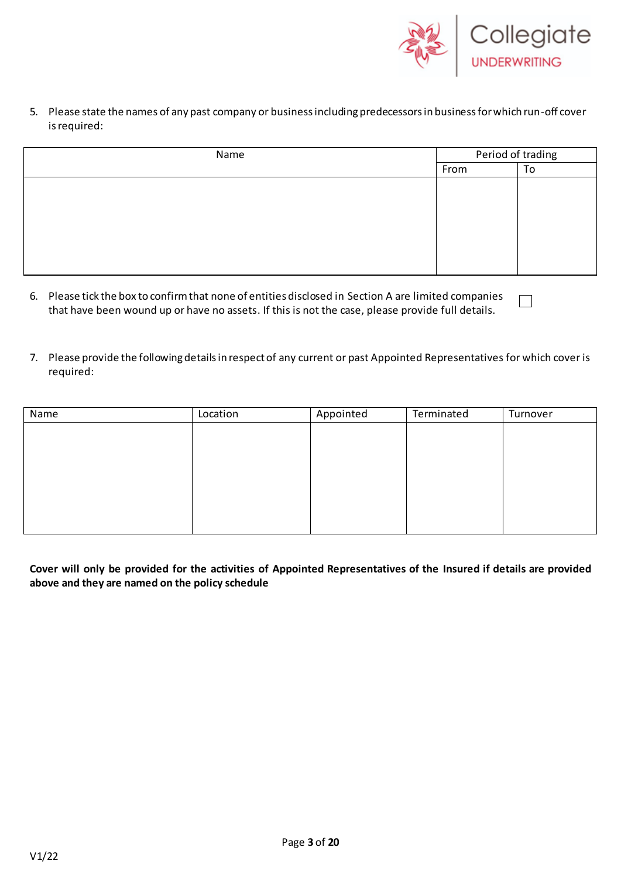

5. Please state the names of any past company or business including predecessors in business for which run-off cover is required:

| Name |      | Period of trading |  |
|------|------|-------------------|--|
|      | From | To                |  |
|      |      |                   |  |
|      |      |                   |  |
|      |      |                   |  |
|      |      |                   |  |
|      |      |                   |  |
|      |      |                   |  |

- 6. Please tick the box to confirm that none of entities disclosed in Section A are limited companies  $\Box$ that have been wound up or have no assets. If this is not the case, please provide full details.
- 7. Please provide the following details in respect of any current or past Appointed Representatives for which cover is required:

| Name | Location | Appointed | Terminated | Turnover |
|------|----------|-----------|------------|----------|
|      |          |           |            |          |
|      |          |           |            |          |
|      |          |           |            |          |
|      |          |           |            |          |
|      |          |           |            |          |
|      |          |           |            |          |
|      |          |           |            |          |
|      |          |           |            |          |

**Cover will only be provided for the activities of Appointed Representatives of the Insured if details are provided above and they are named on the policy schedule**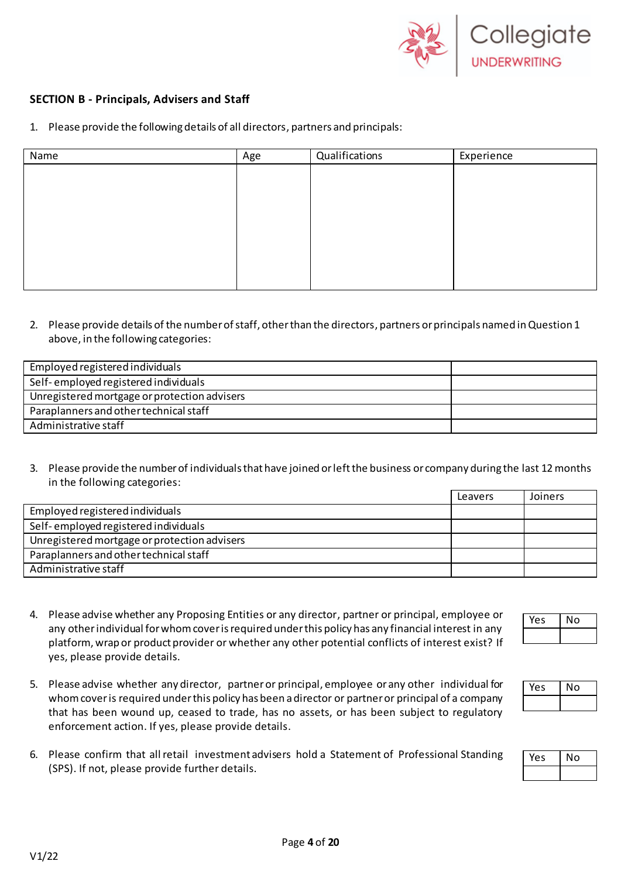

### **SECTION B - Principals, Advisers and Staff**

1. Please provide the following details of all directors, partners and principals:

| Name | Age | Qualifications | Experience |
|------|-----|----------------|------------|
|      |     |                |            |
|      |     |                |            |
|      |     |                |            |
|      |     |                |            |
|      |     |                |            |
|      |     |                |            |
|      |     |                |            |
|      |     |                |            |

2. Please provide details of the number of staff, other than the directors, partners orprincipals named in Question 1 above, in the following categories:

| Employed registered individuals              |  |
|----------------------------------------------|--|
| Self-employed registered individuals         |  |
| Unregistered mortgage or protection advisers |  |
| Paraplanners and other technical staff       |  |
| Administrative staff                         |  |

3. Please provide the number of individuals that have joined or left the business or company during the last 12 months in the following categories:

|                                              | Leavers | Joiners |
|----------------------------------------------|---------|---------|
| Employed registered individuals              |         |         |
| Self-employed registered individuals         |         |         |
| Unregistered mortgage or protection advisers |         |         |
| Paraplanners and other technical staff       |         |         |
| Administrative staff                         |         |         |

- 4. Please advise whether any Proposing Entities or any director, partner or principal, employee or any other individual for whom cover is required under this policy has any financial interest in any platform, wrap or product provider or whether any other potential conflicts of interest exist? If yes, please provide details.
- 5. Please advise whether any director, partneror principal, employee or any other individual for whom cover is required under this policy has been a director or partner or principal of a company that has been wound up, ceased to trade, has no assets, or has been subject to regulatory enforcement action. If yes, please provide details.
- 6. Please confirm that all retail investment advisers hold a Statement of Professional Standing (SPS). If not, please provide further details.

| ا ع د | ١O |
|-------|----|
|       |    |

| $\mathsf{a}$ | O |
|--------------|---|
|              |   |

| ρς | O |
|----|---|
|    |   |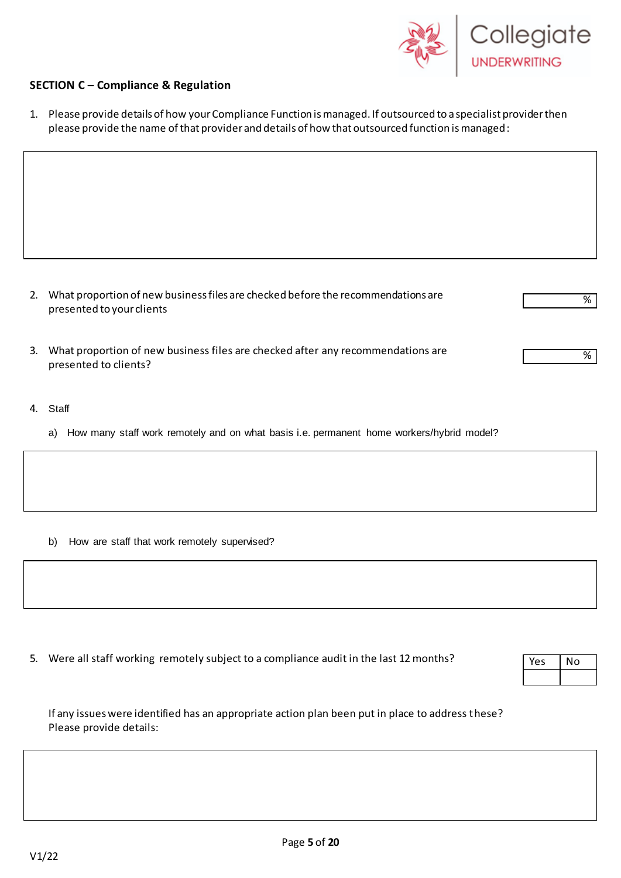

### **SECTION C – Compliance & Regulation**

1. Please provide details of how yourCompliance Function is managed. If outsourced to a specialist provider then please provide the name of that provider and details of how that outsourced function is managed:

- 2. What proportion of new business files are checked before the recommendations are presented to your clients
- 3. What proportion of new business files are checked after any recommendations are presented to clients?
- 4. Staff
	- a) How many staff work remotely and on what basis i.e. permanent home workers/hybrid model?

b) How are staff that work remotely supervised?

5. Were all staff working remotely subject to a compliance audit in the last 12 months?

| ٠, |
|----|
|    |

%

%

| If any issues were identified has an appropriate action plan been put in place to address these? |  |
|--------------------------------------------------------------------------------------------------|--|
| Please provide details:                                                                          |  |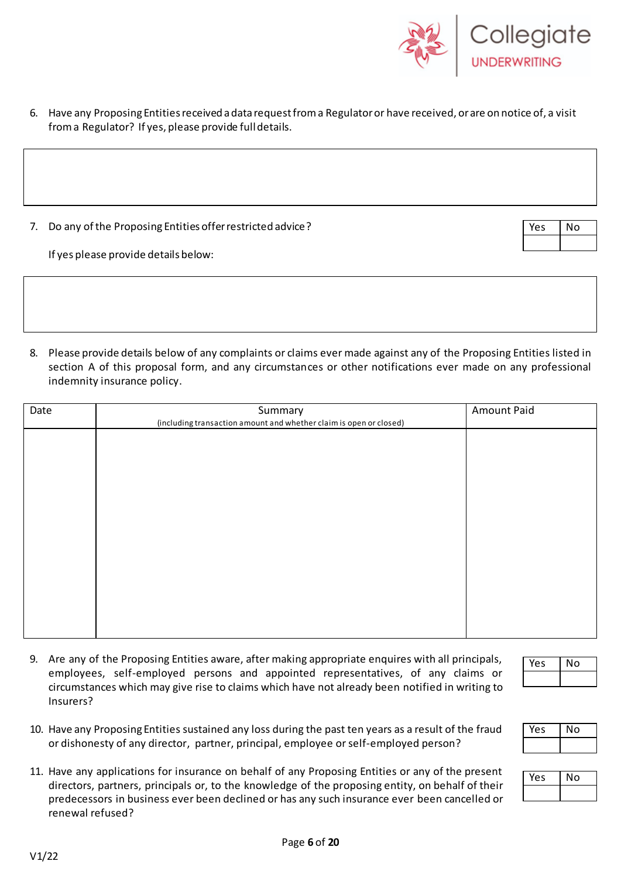

- 6. Have any Proposing Entities received a data request from a Regulator or have received, or are on notice of, a visit from a Regulator? If yes, please provide full details.
- 7. Do any of the Proposing Entities offer restricted advice?

Yes No

If yes please provide details below:

8. Please provide details below of any complaints or claims ever made against any of the Proposing Entities listed in section A of this proposal form, and any circumstances or other notifications ever made on any professional indemnity insurance policy.

| Summary | Amount Paid                                                        |
|---------|--------------------------------------------------------------------|
|         |                                                                    |
|         |                                                                    |
|         |                                                                    |
|         |                                                                    |
|         |                                                                    |
|         |                                                                    |
|         |                                                                    |
|         |                                                                    |
|         |                                                                    |
|         |                                                                    |
|         |                                                                    |
|         |                                                                    |
|         | (including transaction amount and whether claim is open or closed) |

9. Are any of the Proposing Entities aware, after making appropriate enquires with all principals, employees, self-employed persons and appointed representatives, of any claims or circumstances which may give rise to claims which have not already been notified in writing to Insurers?

10. Have any Proposing Entities sustained any loss during the past ten years as a result of the fraud



Yes No

| Ά | ٩O |
|---|----|
|   |    |

or dishonesty of any director, partner, principal, employee orself-employed person? 11. Have any applications for insurance on behalf of any Proposing Entities or any of the present directors, partners, principals or, to the knowledge of the proposing entity, on behalf of their

predecessors in business ever been declined or has any such insurance ever been cancelled or

renewal refused?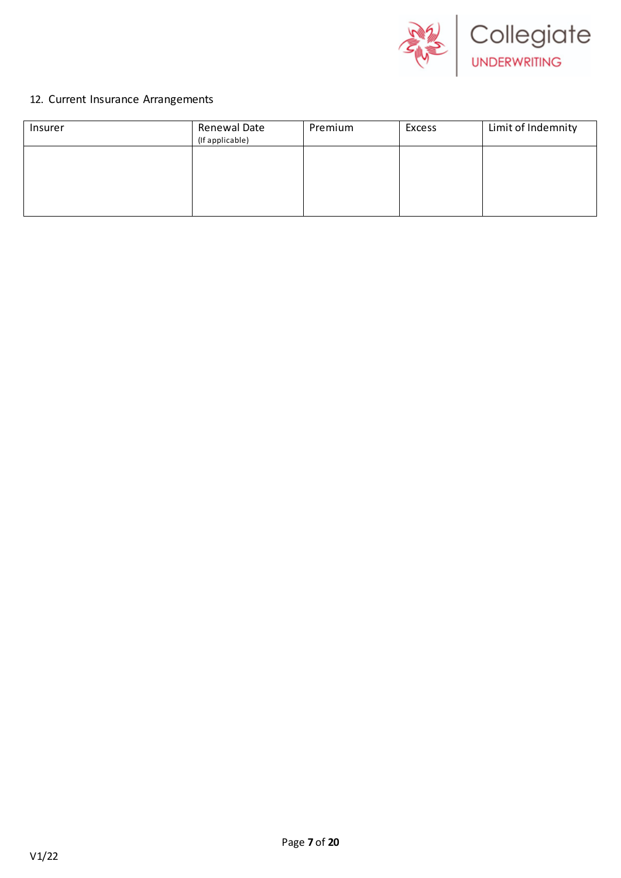

## 12. Current Insurance Arrangements

| Insurer | Renewal Date<br>(If applicable) | Premium | Excess | Limit of Indemnity |
|---------|---------------------------------|---------|--------|--------------------|
|         |                                 |         |        |                    |
|         |                                 |         |        |                    |
|         |                                 |         |        |                    |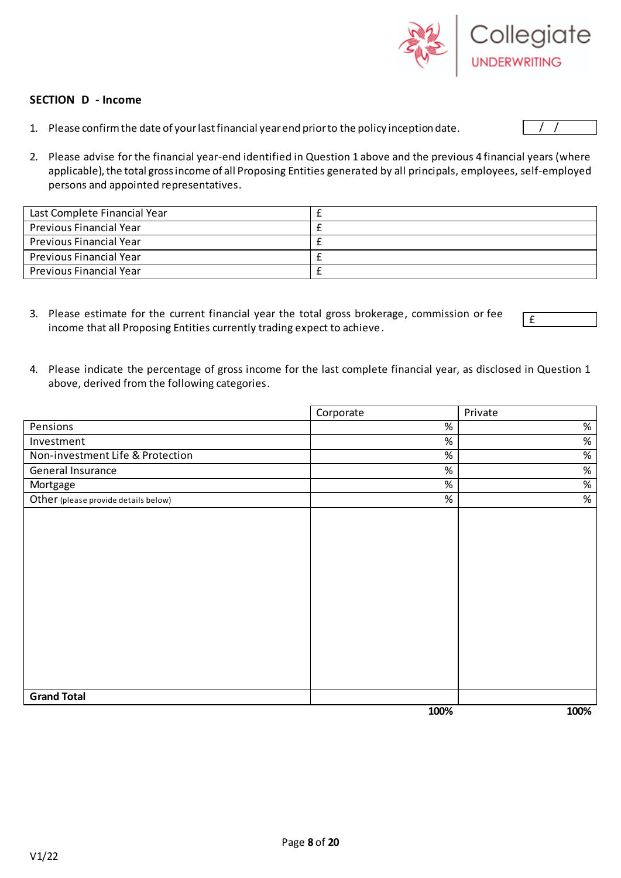

#### **SECTION D - Income**

1. Please confirm the date of your last financial year end prior to the policy inception date.

£

2. Please advise for the financial year-end identified in Question 1 above and the previous 4 financial years (where applicable), the total gross income of all Proposing Entities generated by all principals, employees, self-employed persons and appointed representatives.

| Last Complete Financial Year   |  |
|--------------------------------|--|
| <b>Previous Financial Year</b> |  |
| Previous Financial Year        |  |
| Previous Financial Year        |  |
| <b>Previous Financial Year</b> |  |

- 3. Please estimate for the current financial year the total gross brokerage, commission or fee income that all Proposing Entities currently trading expect to achieve.
- 4. Please indicate the percentage of gross income for the last complete financial year, as disclosed in Question 1 above, derived from the following categories.

|                                      | Corporate |      | Private |
|--------------------------------------|-----------|------|---------|
| <b>Pensions</b>                      |           | $\%$ | $\%$    |
| Investment                           |           | $\%$ | $\%$    |
| Non-investment Life & Protection     |           | $\%$ | %       |
| General Insurance                    |           | $\%$ | $\%$    |
| Mortgage                             |           | $\%$ | %       |
| Other (please provide details below) |           | $\%$ | $\%$    |
|                                      |           |      |         |
|                                      |           |      |         |
|                                      |           |      |         |
|                                      |           |      |         |
|                                      |           |      |         |
|                                      |           |      |         |
|                                      |           |      |         |
|                                      |           |      |         |
|                                      |           |      |         |
| <b>Grand Total</b>                   |           |      |         |
|                                      |           | 100% | 100%    |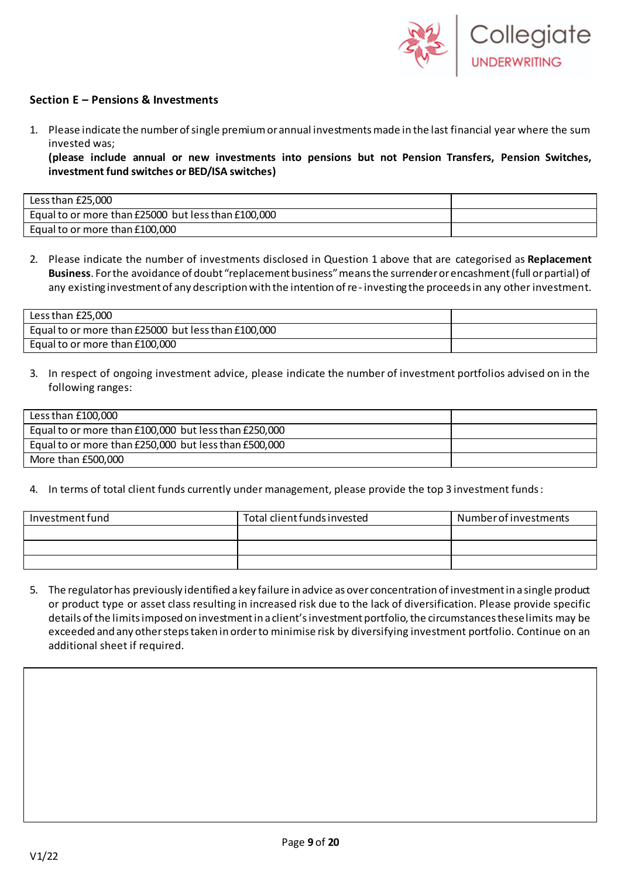

#### **Section E – Pensions & Investments**

1. Please indicate the number of single premium or annual investments made in the last financial year where the sum invested was;

**(please include annual or new investments into pensions but not Pension Transfers, Pension Switches, investment fund switches or BED/ISA switches)**

| Less than £25,000                                   |  |
|-----------------------------------------------------|--|
| Equal to or more than £25000 but less than £100,000 |  |
| Equal to or more than £100,000                      |  |

2. Please indicate the number of investments disclosed in Question 1 above that are categorised as **Replacement Business**. For the avoidance of doubt "replacement business" means the surrender or encashment (full or partial) of any existing investment of any description with the intention of re- investing the proceeds in any other investment.

| Less than £25,000                                   |  |
|-----------------------------------------------------|--|
| Equal to or more than £25000 but less than £100,000 |  |
| Equal to or more than £100,000                      |  |

3. In respect of ongoing investment advice, please indicate the number of investment portfolios advised on in the following ranges:

| Less than £100,000                                    |  |
|-------------------------------------------------------|--|
| Equal to or more than £100,000 but less than £250,000 |  |
| Equal to or more than £250,000 but less than £500,000 |  |
| More than £500,000                                    |  |

4. In terms of total client funds currently under management, please provide the top 3 investment funds:

| Investment fund | Total client funds invested | Number of investments |
|-----------------|-----------------------------|-----------------------|
|                 |                             |                       |
|                 |                             |                       |
|                 |                             |                       |

5. The regulator has previously identified a key failure in advice as over concentration of investment in a single product or product type or asset class resulting in increased risk due to the lack of diversification. Please provide specific details of the limits imposed on investment in a client's investment portfolio, the circumstances these limits may be exceeded and any other steps taken in order to minimise risk by diversifying investment portfolio. Continue on an additional sheet if required.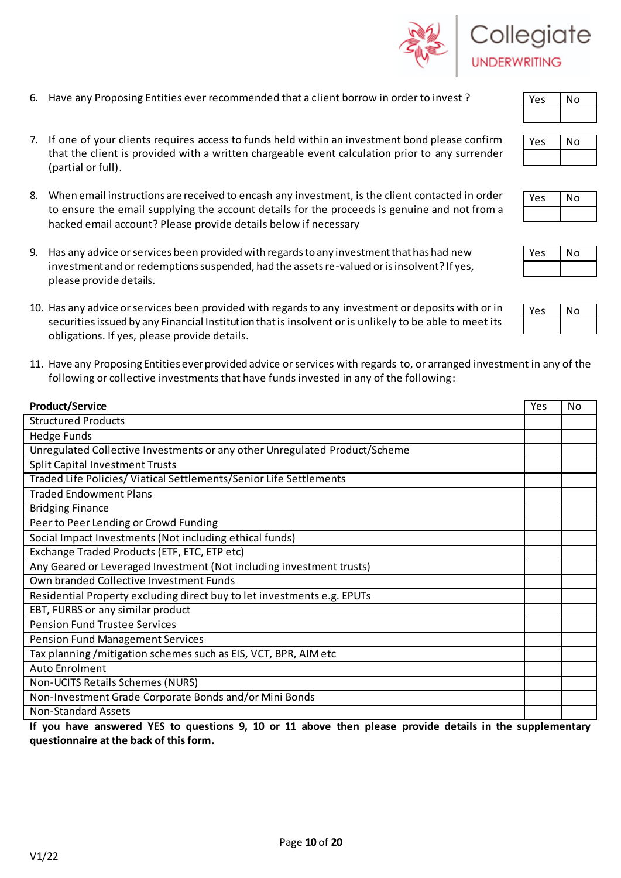V1/22

- 6. Have any Proposing Entities ever recommended that a client borrow in order to invest ?
- 7. If one of your clients requires access to funds held within an investment bond please confirm that the client is provided with a written chargeable event calculation prior to any surrender (partial or full).
- 8. When email instructions are received to encash any investment, is the client contacted in order to ensure the email supplying the account details for the proceeds is genuine and not from a hacked email account? Please provide details below if necessary
- 9. Has any advice or services been provided with regards to any investment that has had new investment and or redemptions suspended, had the assets re-valued or is insolvent? If yes, please provide details.
- 10. Has any advice or services been provided with regards to any investment or deposits with or in securities issued by any Financial Institution that is insolvent or is unlikely to be able to meet its obligations. If yes, please provide details.
- 11. Have any Proposing Entities ever provided advice or services with regards to, or arranged investment in any of the following or collective investments that have funds invested in any of the following:

| <b>Product/Service</b>                                                     | Yes | No |
|----------------------------------------------------------------------------|-----|----|
| <b>Structured Products</b>                                                 |     |    |
| <b>Hedge Funds</b>                                                         |     |    |
| Unregulated Collective Investments or any other Unregulated Product/Scheme |     |    |
| <b>Split Capital Investment Trusts</b>                                     |     |    |
| Traded Life Policies/ Viatical Settlements/Senior Life Settlements         |     |    |
| <b>Traded Endowment Plans</b>                                              |     |    |
| <b>Bridging Finance</b>                                                    |     |    |
| Peer to Peer Lending or Crowd Funding                                      |     |    |
| Social Impact Investments (Not including ethical funds)                    |     |    |
| Exchange Traded Products (ETF, ETC, ETP etc)                               |     |    |
| Any Geared or Leveraged Investment (Not including investment trusts)       |     |    |
| Own branded Collective Investment Funds                                    |     |    |
| Residential Property excluding direct buy to let investments e.g. EPUTs    |     |    |
| EBT, FURBS or any similar product                                          |     |    |
| <b>Pension Fund Trustee Services</b>                                       |     |    |
| <b>Pension Fund Management Services</b>                                    |     |    |
| Tax planning /mitigation schemes such as EIS, VCT, BPR, AIM etc            |     |    |
| <b>Auto Enrolment</b>                                                      |     |    |
| Non-UCITS Retails Schemes (NURS)                                           |     |    |
| Non-Investment Grade Corporate Bonds and/or Mini Bonds                     |     |    |
| <b>Non-Standard Assets</b>                                                 |     |    |

**If you have answered YES to questions 9, 10 or 11 above then please provide details in the supplementary questionnaire at the back of this form.**

| $\mathcal{A}$ | Collegiate          |
|---------------|---------------------|
|               | <b>UNDERWRITING</b> |





| es | No |
|----|----|
|    |    |

| $A_{\rm S}$ | I O |
|-------------|-----|
|             |     |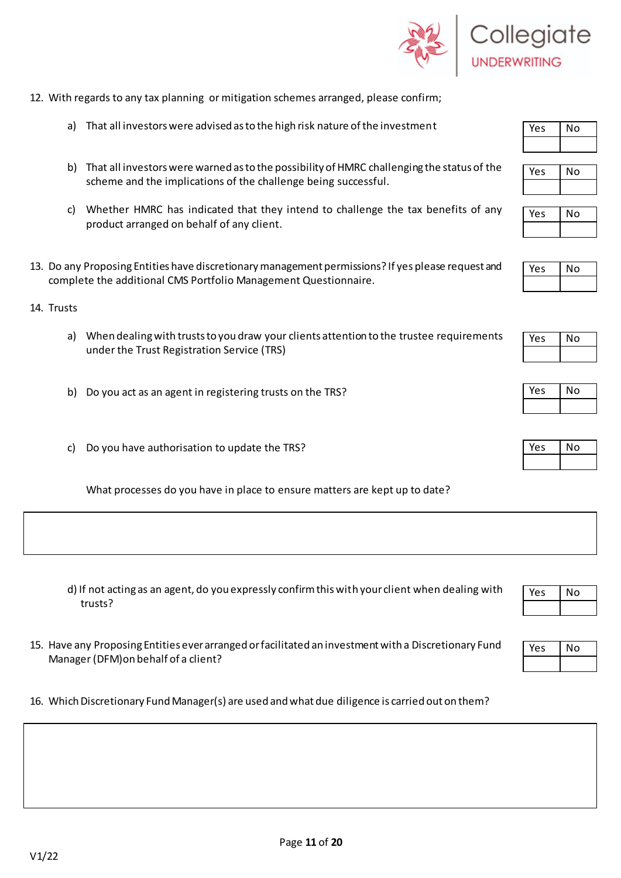

- 12. With regards to any tax planning or mitigation schemes arranged, please confirm;
	- a) That all investors were advised as to the high risk nature of the investment
	- b) That all investors were warned as to the possibility of HMRC challenging the status of the scheme and the implications of the challenge being successful.
	- c) Whether HMRC has indicated that they intend to challenge the tax benefits of any product arranged on behalf of any client.
- 13. Do any Proposing Entities have discretionary management permissions? If yes please request and complete the additional CMS Portfolio Management Questionnaire.
- 14. Trusts

V1/22

- a) When dealing with trusts to you draw your clients attention to the trustee requirements under the Trust Registration Service (TRS)
- b) Do you act as an agent in registering trusts on the TRS?
- c) Do you have authorisation to update the TRS?

What processes do you have in place to ensure matters are kept up to date?

- d) If not acting as an agent, do you expressly confirm this with your client when dealing with trusts?
- 15. Have any Proposing Entities ever arranged or facilitated an investment with a Discretionary Fund Manager (DFM)on behalf of a client?
- 16. Which Discretionary Fund Manager(s) are used and what due diligence is carried out on them?





| A | N <sub>O</sub> |
|---|----------------|
|   |                |

| VES | ٩o |
|-----|----|
|     |    |



| Yes | No |
|-----|----|
|     |    |

| ρç<br>γ | ٩o |
|---------|----|
|         |    |

| 'es | N٥ |
|-----|----|
|     |    |
|     |    |

| Yes | No |
|-----|----|
|     |    |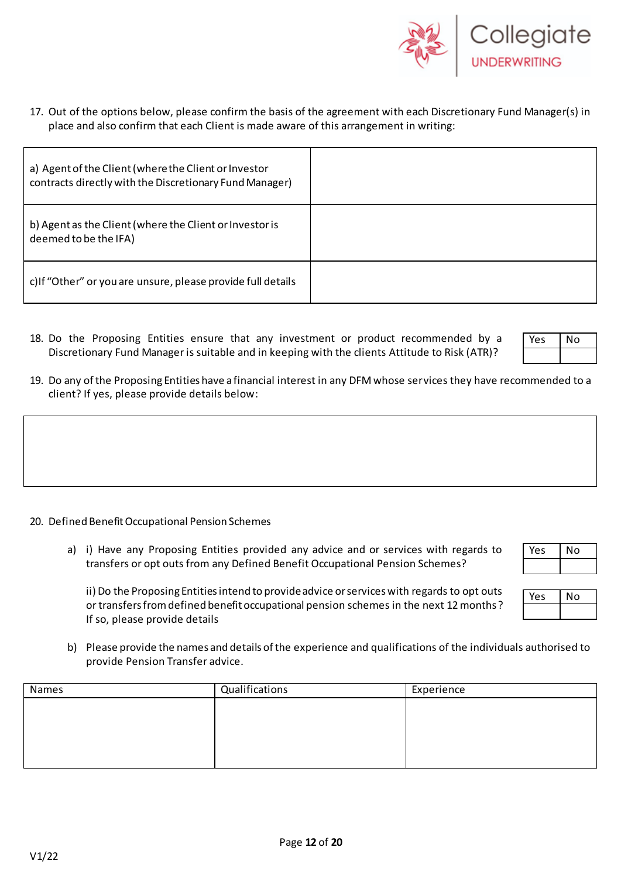

17. Out of the options below, please confirm the basis of the agreement with each Discretionary Fund Manager(s) in place and also confirm that each Client is made aware of this arrangement in writing:

| a) Agent of the Client (where the Client or Investor<br>contracts directly with the Discretionary Fund Manager) |  |
|-----------------------------------------------------------------------------------------------------------------|--|
| b) Agent as the Client (where the Client or Investor is<br>deemed to be the IFA)                                |  |
| c) If "Other" or you are unsure, please provide full details                                                    |  |

18. Do the Proposing Entities ensure that any investment or product recommended by a Discretionary Fund Manager is suitable and in keeping with the clients Attitude to Risk (ATR)?

| $-5$ | NΟ |
|------|----|
|      |    |

19. Do any of the Proposing Entities have a financial interest in any DFM whose services they have recommended to a client? If yes, please provide details below:

- 20. Defined Benefit Occupational Pension Schemes
	- a) i) Have any Proposing Entities provided any advice and or services with regards to transfers or opt outs from any Defined Benefit Occupational Pension Schemes?

ii) Do the Proposing Entities intend to provide advice or services with regards to opt outs or transfers from defined benefit occupational pension schemes in the next 12 months? If so, please provide details

- Yes | No
- b) Please provide the names and details of the experience and qualifications of the individuals authorised to provide Pension Transfer advice.

| Names | Qualifications | Experience |
|-------|----------------|------------|
|       |                |            |
|       |                |            |
|       |                |            |
|       |                |            |
|       |                |            |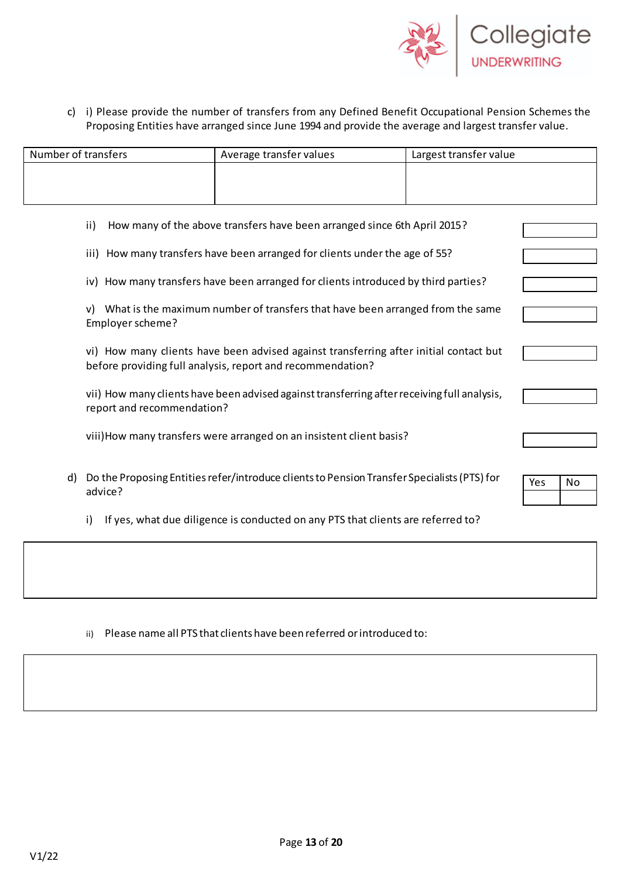

c) i) Please provide the number of transfers from any Defined Benefit Occupational Pension Schemes the Proposing Entities have arranged since June 1994 and provide the average and largest transfer value.

| Number of transfers | Average transfer values | Largest transfer value |
|---------------------|-------------------------|------------------------|
|                     |                         |                        |
|                     |                         |                        |
|                     |                         |                        |

|  | ii) How many of the above transfers have been arranged since 6th April 2015? |  |
|--|------------------------------------------------------------------------------|--|
|--|------------------------------------------------------------------------------|--|

- iii) How many transfers have been arranged for clients under the age of 55?
- iv) How many transfers have been arranged for clients introduced by third parties?

| v) What is the maximum number of transfers that have been arranged from the same |  |
|----------------------------------------------------------------------------------|--|
| Employer scheme?                                                                 |  |

vi) How many clients have been advised against transferring after initial contact but before providing full analysis, report and recommendation?

vii) How many clients have been advised against transferring after receiving full analysis, report and recommendation?

viii)How many transfers were arranged on an insistent client basis?

- d) Do the Proposing Entities refer/introduce clients to Pension Transfer Specialists (PTS) for advice?
- Yes | No
- i) If yes, what due diligence is conducted on any PTS that clients are referred to?

ii) Please name all PTS that clients have been referred orintroduced to: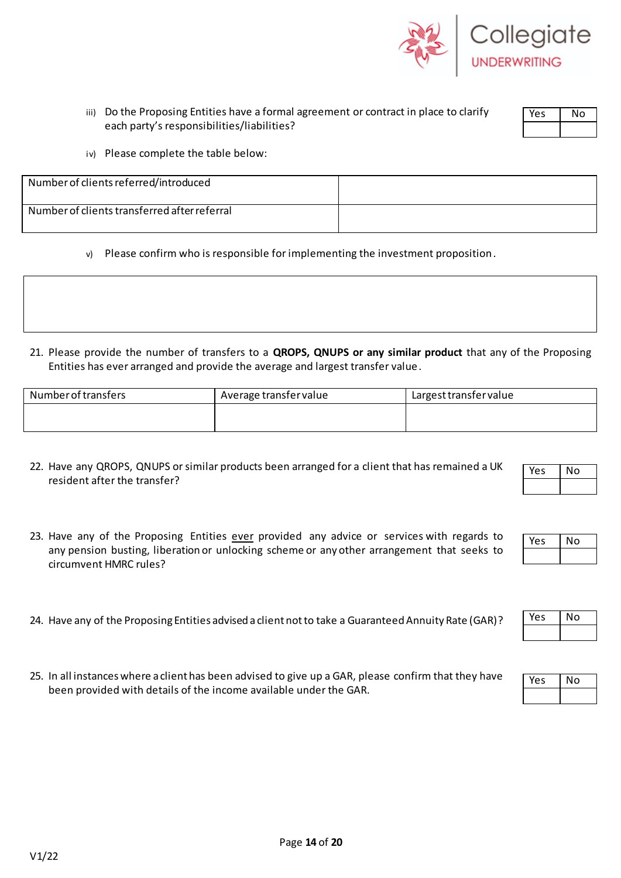

| iii) Do the Proposing Entities have a formal agreement or contract in place to clarify |
|----------------------------------------------------------------------------------------|
| each party's responsibilities/liabilities?                                             |

iv) Please complete the table below:

| Number of clients referred/introduced        |  |
|----------------------------------------------|--|
| Number of clients transferred after referral |  |

- v) Please confirm who is responsible for implementing the investment proposition.
- 21. Please provide the number of transfers to a **QROPS, QNUPS or any similar product** that any of the Proposing Entities has ever arranged and provide the average and largest transfer value.

| Number of transfers | Average transfer value | Largest transfer value |
|---------------------|------------------------|------------------------|
|                     |                        |                        |
|                     |                        |                        |

- 22. Have any QROPS, QNUPS or similar products been arranged for a client that has remained a UK resident after the transfer?
- 23. Have any of the Proposing Entities ever provided any advice or services with regards to any pension busting, liberation or unlocking scheme or any other arrangement that seeks to circumvent HMRC rules?
- 24. Have any of the Proposing Entities advised a client not to take a Guaranteed Annuity Rate (GAR)?
- 25. In all instances where a client has been advised to give up a GAR, please confirm that they have been provided with details of the income available under the GAR.

V1/22



Yes | No

| ρç | ٩O |
|----|----|
|    |    |

| ١¢ | О |
|----|---|
|    |   |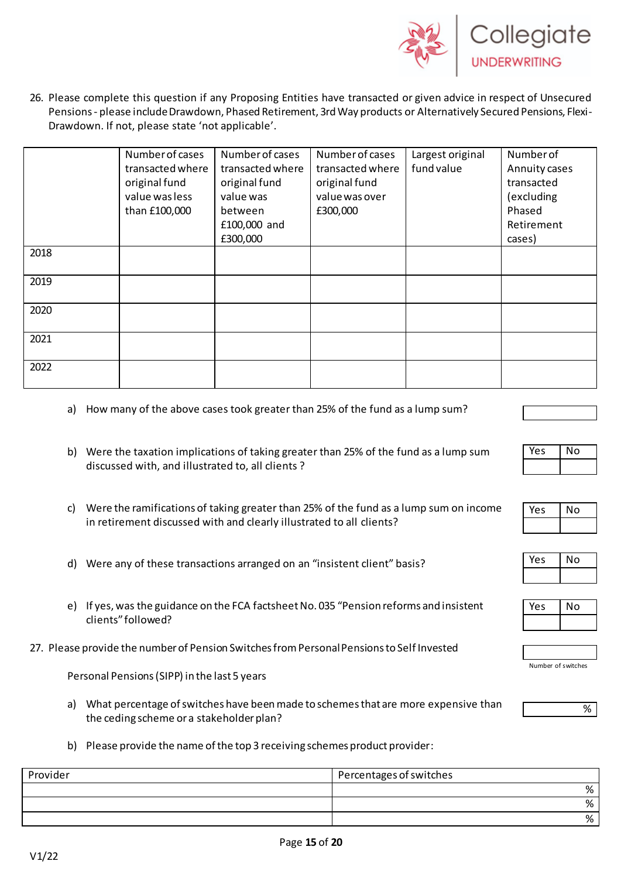

26. Please complete this question if any Proposing Entities have transacted or given advice in respect of Unsecured Pensions- please include Drawdown, Phased Retirement, 3rd Way products or Alternatively Secured Pensions, Flexi-Drawdown. If not, please state 'not applicable'.

|      | Number of cases  | Number of cases  | Number of cases  | Largest original | Number of     |
|------|------------------|------------------|------------------|------------------|---------------|
|      | transacted where | transacted where | transacted where | fund value       | Annuity cases |
|      | original fund    | original fund    | original fund    |                  | transacted    |
|      | value was less   | value was        | value was over   |                  | (excluding    |
|      | than £100,000    | between          | £300,000         |                  | Phased        |
|      |                  | £100,000 and     |                  |                  | Retirement    |
|      |                  | £300,000         |                  |                  | cases)        |
| 2018 |                  |                  |                  |                  |               |
|      |                  |                  |                  |                  |               |
| 2019 |                  |                  |                  |                  |               |
|      |                  |                  |                  |                  |               |
| 2020 |                  |                  |                  |                  |               |
|      |                  |                  |                  |                  |               |
| 2021 |                  |                  |                  |                  |               |
|      |                  |                  |                  |                  |               |
| 2022 |                  |                  |                  |                  |               |
|      |                  |                  |                  |                  |               |

- a) How many of the above cases took greater than 25% of the fund as a lump sum?
- b) Were the taxation implications of taking greater than 25% of the fund as a lump sum discussed with, and illustrated to, all clients ?
- c) Were the ramifications of taking greater than 25% of the fund as a lump sum on income in retirement discussed with and clearly illustrated to all clients?
- d) Were any of these transactions arranged on an "insistent client" basis?
- e) If yes, was the guidance on the FCA factsheet No. 035 "Pension reforms and insistent clients" followed?
- 27. Please provide the number of Pension Switches from Personal Pensions to Self Invested

Personal Pensions (SIPP) in the last 5 years

- a) What percentage of switches have been made to schemes that are more expensive than the ceding scheme or a stakeholder plan?
- b) Please provide the name of the top 3 receiving schemes product provider:

| Provider | Percentages of switches |
|----------|-------------------------|
|          | ℅                       |
|          | %                       |
|          | 0/<br>7٥                |

| Yes | No |
|-----|----|
|     |    |
|     |    |

| Yes | No |
|-----|----|
|     |    |





| Number of switches |  |
|--------------------|--|

%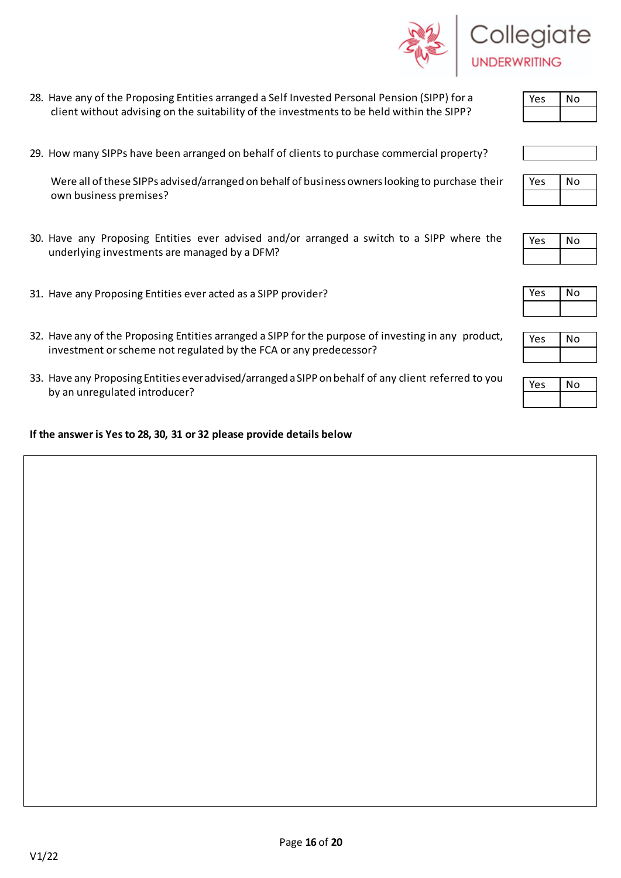- 28. Have any of the Proposing Entities arranged a Self Invested Personal Pension (SIPP) for a client without advising on the suitability of the investments to be held within the SIPP?
- 29. How many SIPPs have been arranged on behalf of clients to purchase commercial property?

 Were all of these SIPPs advised/arranged on behalf of business owners looking to purchase their own business premises?

- 30. Have any Proposing Entities ever advised and/or arranged a switch to a SIPP where the underlying investments are managed by a DFM?
- 31. Have any Proposing Entities ever acted as a SIPP provider?
- 32. Have any of the Proposing Entities arranged a SIPP for the purpose of investing in any product, investment or scheme not regulated by the FCA or any predecessor?
- 33. Have any Proposing Entities ever advised/arranged a SIPP on behalf of any client referred to you by an unregulated introducer?

#### **If the answer is Yes to 28, 30, 31 or 32 please provide details below**

V1/22

| 82 J | Collegiate          |
|------|---------------------|
|      | <b>UNDERWRITING</b> |



| Yes | No |
|-----|----|
|     |    |

| eς | No |  |  |
|----|----|--|--|
|    |    |  |  |

| 'es | ٧о |
|-----|----|
|     |    |

| n |  |  |
|---|--|--|
|   |  |  |

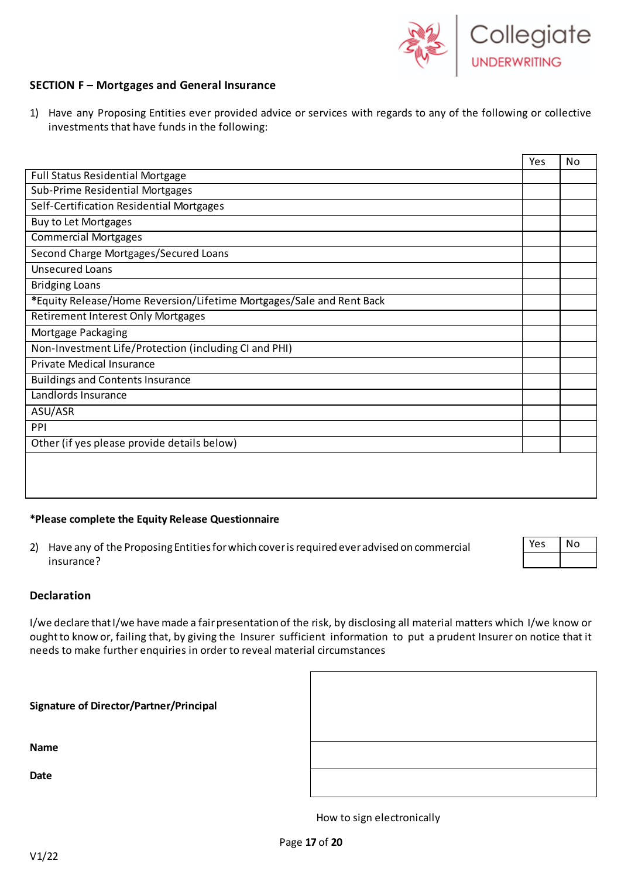

#### **SECTION F – Mortgages and General Insurance**

1) Have any Proposing Entities ever provided advice or services with regards to any of the following or collective investments that have funds in the following:

|                                                                      | Yes | No |
|----------------------------------------------------------------------|-----|----|
| <b>Full Status Residential Mortgage</b>                              |     |    |
| Sub-Prime Residential Mortgages                                      |     |    |
| Self-Certification Residential Mortgages                             |     |    |
| <b>Buy to Let Mortgages</b>                                          |     |    |
| <b>Commercial Mortgages</b>                                          |     |    |
| Second Charge Mortgages/Secured Loans                                |     |    |
| <b>Unsecured Loans</b>                                               |     |    |
| <b>Bridging Loans</b>                                                |     |    |
| *Equity Release/Home Reversion/Lifetime Mortgages/Sale and Rent Back |     |    |
| <b>Retirement Interest Only Mortgages</b>                            |     |    |
| Mortgage Packaging                                                   |     |    |
| Non-Investment Life/Protection (including CI and PHI)                |     |    |
| Private Medical Insurance                                            |     |    |
| <b>Buildings and Contents Insurance</b>                              |     |    |
| Landlords Insurance                                                  |     |    |
| ASU/ASR                                                              |     |    |
| PPI                                                                  |     |    |
| Other (if yes please provide details below)                          |     |    |
|                                                                      |     |    |
|                                                                      |     |    |
|                                                                      |     |    |

#### **\*Please complete the Equity Release Questionnaire**

2) Have any of the Proposing Entities for which cover is required ever advised on commercial insurance?

| Yes. | No |  |
|------|----|--|
|      |    |  |

#### **Declaration**

I/we declare that I/we have made a fair presentation of the risk, by disclosing all material matters which I/we know or oughtto know or, failing that, by giving the Insurer sufficient information to put a prudent Insurer on notice that it needs to make further enquiries in order to reveal material circumstances

| <b>Signature of Director/Partner/Principal</b> |  |
|------------------------------------------------|--|
| <b>Name</b>                                    |  |
| Date                                           |  |



How to sign electronically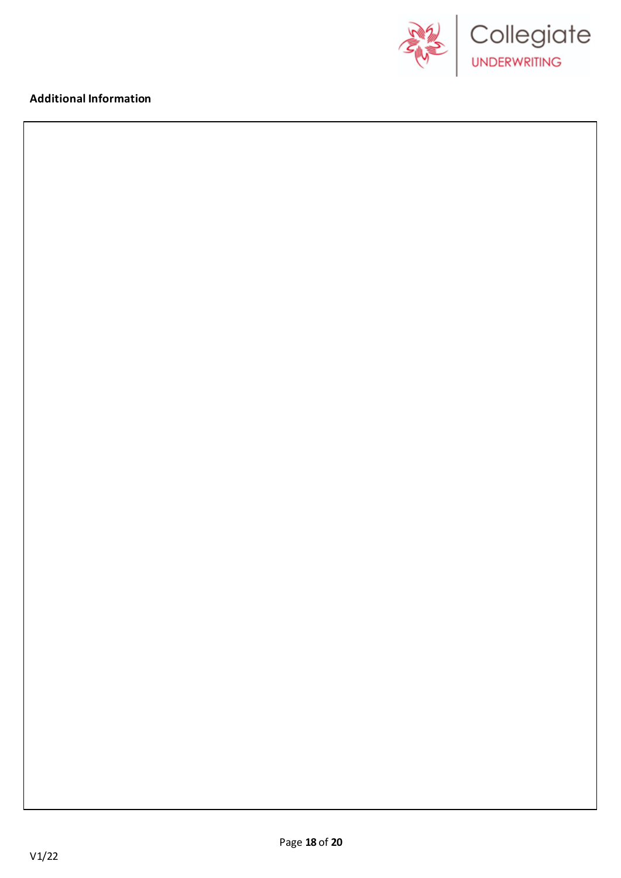

## **Additional Information**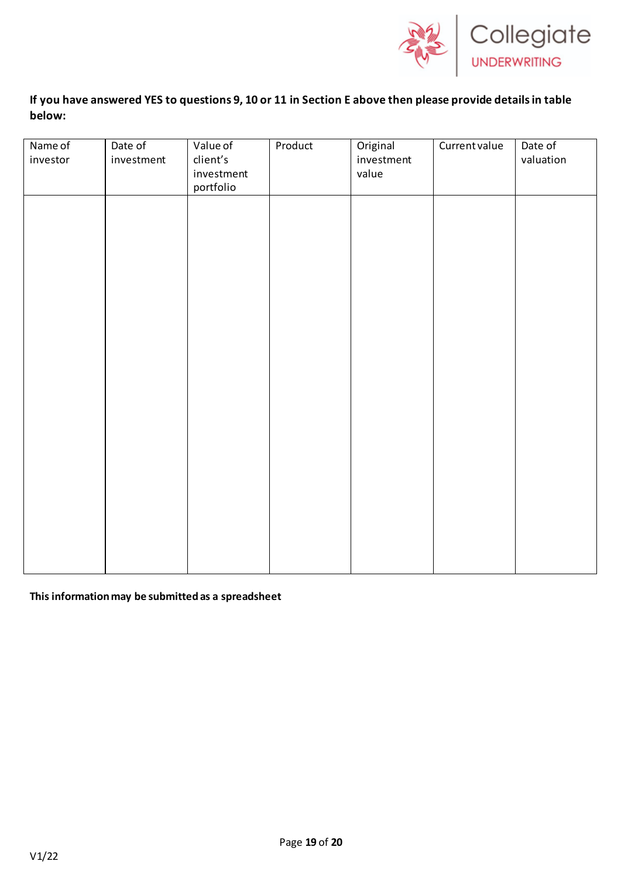

# **If you have answered YES to questions 9, 10 or 11 in Section E above then please provide details in table below:**

| Name of<br>investor | Date of<br>investment | Value of<br>client's    | Product | Original<br>investment | Current value | Date of<br>valuation |
|---------------------|-----------------------|-------------------------|---------|------------------------|---------------|----------------------|
|                     |                       | investment<br>portfolio |         | value                  |               |                      |
|                     |                       |                         |         |                        |               |                      |
|                     |                       |                         |         |                        |               |                      |
|                     |                       |                         |         |                        |               |                      |
|                     |                       |                         |         |                        |               |                      |
|                     |                       |                         |         |                        |               |                      |
|                     |                       |                         |         |                        |               |                      |
|                     |                       |                         |         |                        |               |                      |
|                     |                       |                         |         |                        |               |                      |
|                     |                       |                         |         |                        |               |                      |
|                     |                       |                         |         |                        |               |                      |
|                     |                       |                         |         |                        |               |                      |
|                     |                       |                         |         |                        |               |                      |
|                     |                       |                         |         |                        |               |                      |

**This information may be submitted as a spreadsheet**